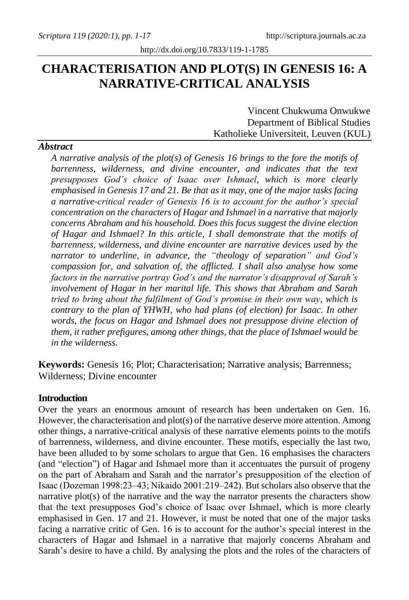# **CHARACTERISATION AND PLOT(S) IN GENESIS 16: A NARRATIVE-CRITICAL ANALYSIS**

Vincent Chukwuma Onwukwe Department of Biblical Studies Katholieke Universiteit, Leuven (KUL)

## *A narrative analysis of the plot(s) of Genesis 16 brings to the fore the motifs of barrenness, wilderness, and divine encounter, and indicates that the text presupposes God's choice of Isaac over Ishmael, which is more clearly emphasised in Genesis 17 and 21. Be that as it may, one of the major tasks facing a narrative-critical reader of Genesis 16 is to account for the author's special concentration on the characters of Hagar and Ishmael in a narrative that majorly concerns Abraham and his household. Does this focus suggest the divine election of Hagar and Ishmael? In this article, I shall demonstrate that the motifs of barrenness, wilderness, and divine encounter are narrative devices used by the narrator to underline, in advance, the "theology of separation" and God's compassion for, and salvation of, the afflicted. I shall also analyse how some factors in the narrative portray God's and the narrator's disapproval of Sarah's involvement of Hagar in her marital life. This shows that Abraham and Sarah tried to bring about the fulfilment of God's promise in their own way, which is contrary to the plan of YHWH, who had plans (of election) for Isaac. In other words, the focus on Hagar and Ishmael does not presuppose divine election of them, it rather prefigures, among other things, that the place of Ishmael would be in the wilderness.*

**Keywords:** Genesis 16; Plot; Characterisation; Narrative analysis; Barrenness; Wilderness; Divine encounter

#### **Introduction**

Over the years an enormous amount of research has been undertaken on Gen. 16. However, the characterisation and plot(s) of the narrative deserve more attention. Among other things, a narrative-critical analysis of these narrative elements points to the motifs of barrenness, wilderness, and divine encounter. These motifs, especially the last two, have been alluded to by some scholars to argue that Gen. 16 emphasises the characters (and "election") of Hagar and Ishmael more than it accentuates the pursuit of progeny on the part of Abraham and Sarah and the narrator's presupposition of the election of Isaac (Dozeman 1998:23‒43; Nikaido 2001:219‒242). But scholars also observe that the narrative plot(s) of the narrative and the way the narrator presents the characters show that the text presupposes God's choice of Isaac over Ishmael, which is more clearly emphasised in Gen. 17 and 21. However, it must be noted that one of the major tasks facing a narrative critic of Gen. 16 is to account for the author's special interest in the characters of Hagar and Ishmael in a narrative that majorly concerns Abraham and Sarah's desire to have a child. By analysing the plots and the roles of the characters of

#### *Abstract*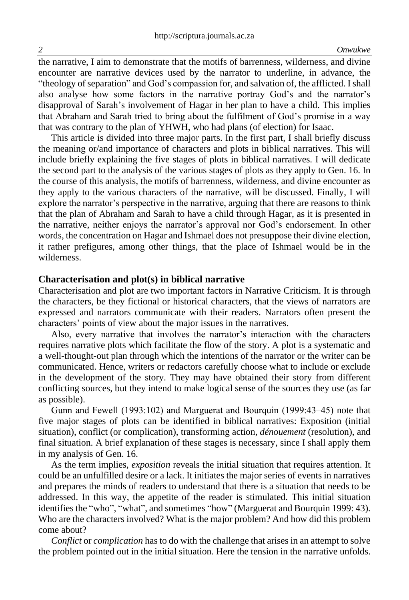the narrative, I aim to demonstrate that the motifs of barrenness, wilderness, and divine encounter are narrative devices used by the narrator to underline, in advance, the "theology of separation" and God's compassion for, and salvation of, the afflicted. I shall also analyse how some factors in the narrative portray God's and the narrator's disapproval of Sarah's involvement of Hagar in her plan to have a child. This implies that Abraham and Sarah tried to bring about the fulfilment of God's promise in a way that was contrary to the plan of YHWH, who had plans (of election) for Isaac.

This article is divided into three major parts. In the first part, I shall briefly discuss the meaning or/and importance of characters and plots in biblical narratives. This will include briefly explaining the five stages of plots in biblical narratives. I will dedicate the second part to the analysis of the various stages of plots as they apply to Gen. 16. In the course of this analysis, the motifs of barrenness, wilderness, and divine encounter as they apply to the various characters of the narrative, will be discussed. Finally, I will explore the narrator's perspective in the narrative, arguing that there are reasons to think that the plan of Abraham and Sarah to have a child through Hagar, as it is presented in the narrative, neither enjoys the narrator's approval nor God's endorsement. In other words, the concentration on Hagar and Ishmael does not presuppose their divine election, it rather prefigures, among other things, that the place of Ishmael would be in the wilderness.

#### **Characterisation and plot(s) in biblical narrative**

Characterisation and plot are two important factors in Narrative Criticism. It is through the characters, be they fictional or historical characters, that the views of narrators are expressed and narrators communicate with their readers. Narrators often present the characters' points of view about the major issues in the narratives.

Also, every narrative that involves the narrator's interaction with the characters requires narrative plots which facilitate the flow of the story. A plot is a systematic and a well-thought-out plan through which the intentions of the narrator or the writer can be communicated. Hence, writers or redactors carefully choose what to include or exclude in the development of the story. They may have obtained their story from different conflicting sources, but they intend to make logical sense of the sources they use (as far as possible).

Gunn and Fewell (1993:102) and Marguerat and Bourquin (1999:43–45) note that five major stages of plots can be identified in biblical narratives: Exposition (initial situation), conflict (or complication), transforming action, *dénouement* (resolution), and final situation. A brief explanation of these stages is necessary, since I shall apply them in my analysis of Gen. 16.

As the term implies, *exposition* reveals the initial situation that requires attention. It could be an unfulfilled desire or a lack. It initiates the major series of events in narratives and prepares the minds of readers to understand that there is a situation that needs to be addressed. In this way, the appetite of the reader is stimulated. This initial situation identifies the "who", "what", and sometimes "how" (Marguerat and Bourquin 1999: 43). Who are the characters involved? What is the major problem? And how did this problem come about?

*Conflict* or *complication* has to do with the challenge that arises in an attempt to solve the problem pointed out in the initial situation. Here the tension in the narrative unfolds.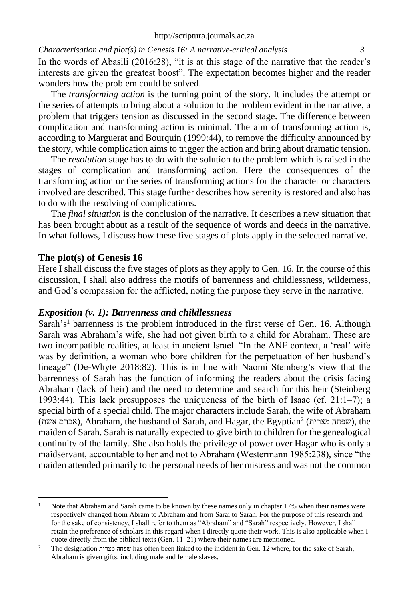In the words of Abasili (2016:28), "it is at this stage of the narrative that the reader's interests are given the greatest boost". The expectation becomes higher and the reader wonders how the problem could be solved.

The *transforming action* is the turning point of the story. It includes the attempt or the series of attempts to bring about a solution to the problem evident in the narrative, a problem that triggers tension as discussed in the second stage. The difference between complication and transforming action is minimal. The aim of transforming action is, according to Marguerat and Bourquin (1999:44), to remove the difficulty announced by the story, while complication aims to trigger the action and bring about dramatic tension.

The *resolution* stage has to do with the solution to the problem which is raised in the stages of complication and transforming action. Here the consequences of the transforming action or the series of transforming actions for the character or characters involved are described. This stage further describes how serenity is restored and also has to do with the resolving of complications.

The *final situation* is the conclusion of the narrative. It describes a new situation that has been brought about as a result of the sequence of words and deeds in the narrative. In what follows, I discuss how these five stages of plots apply in the selected narrative.

#### **The plot(s) of Genesis 16**

Here I shall discuss the five stages of plots as they apply to Gen. 16. In the course of this discussion, I shall also address the motifs of barrenness and childlessness, wilderness, and God's compassion for the afflicted, noting the purpose they serve in the narrative.

#### *Exposition (v. 1): Barrenness and childlessness*

Sarah's<sup>1</sup> barrenness is the problem introduced in the first verse of Gen. 16. Although Sarah was Abraham's wife, she had not given birth to a child for Abraham. These are two incompatible realities, at least in ancient Israel. "In the ANE context, a 'real' wife was by definition, a woman who bore children for the perpetuation of her husband's lineage" (De-Whyte 2018:82). This is in line with Naomi Steinberg's view that the barrenness of Sarah has the function of informing the readers about the crisis facing Abraham (lack of heir) and the need to determine and search for this heir (Steinberg 1993:44). This lack presupposes the uniqueness of the birth of Isaac (cf.  $21:1-7$ ); a special birth of a special child. The major characters include Sarah, the wife of Abraham (אברם אשת), Abraham, the husband of Sarah, and Hagar, the Egyptian<sup>2</sup> (אברם אשת), the maiden of Sarah. Sarah is naturally expected to give birth to children for the genealogical continuity of the family. She also holds the privilege of power over Hagar who is only a maidservant, accountable to her and not to Abraham (Westermann 1985:238), since "the maiden attended primarily to the personal needs of her mistress and was not the common

<sup>&</sup>lt;sup>1</sup> Note that Abraham and Sarah came to be known by these names only in chapter 17:5 when their names were respectively changed from Abram to Abraham and from Sarai to Sarah. For the purpose of this research and for the sake of consistency, I shall refer to them as "Abraham" and "Sarah" respectively. However, I shall retain the preference of scholars in this regard when I directly quote their work. This is also applicable when I quote directly from the biblical texts (Gen.  $11-21$ ) where their names are mentioned.

<sup>2</sup> The designation מצרית שפחה has often been linked to the incident in Gen. 12 where, for the sake of Sarah, Abraham is given gifts, including male and female slaves.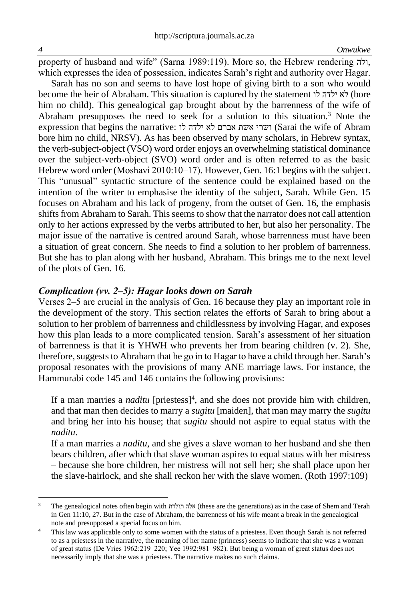property of husband and wife" (Sarna 1989:119). More so, the Hebrew rendering ולה, which expresses the idea of possession, indicates Sarah's right and authority over Hagar.

Sarah has no son and seems to have lost hope of giving birth to a son who would become the heir of Abraham. This situation is captured by the statement לו ילדה לא) bore him no child). This genealogical gap brought about by the barrenness of the wife of Abraham presupposes the need to seek for a solution to this situation.<sup>3</sup> Note the expression that begins the narrative: לו ילדה לא אברם אשת ושרי) Sarai the wife of Abram bore him no child, NRSV). As has been observed by many scholars, in Hebrew syntax, the verb-subject-object (VSO) word order enjoys an overwhelming statistical dominance over the subject-verb-object (SVO) word order and is often referred to as the basic Hebrew word order (Moshavi  $2010:10-17$ ). However, Gen. 16:1 begins with the subject. This "unusual" syntactic structure of the sentence could be explained based on the intention of the writer to emphasise the identity of the subject, Sarah. While Gen. 15 focuses on Abraham and his lack of progeny, from the outset of Gen. 16, the emphasis shifts from Abraham to Sarah. This seems to show that the narrator does not call attention only to her actions expressed by the verbs attributed to her, but also her personality. The major issue of the narrative is centred around Sarah, whose barrenness must have been a situation of great concern. She needs to find a solution to her problem of barrenness. But she has to plan along with her husband, Abraham. This brings me to the next level of the plots of Gen. 16.

#### *Complication (vv. 2‒5): Hagar looks down on Sarah*

Verses 2‒5 are crucial in the analysis of Gen. 16 because they play an important role in the development of the story. This section relates the efforts of Sarah to bring about a solution to her problem of barrenness and childlessness by involving Hagar, and exposes how this plan leads to a more complicated tension. Sarah's assessment of her situation of barrenness is that it is YHWH who prevents her from bearing children (v. 2). She, therefore, suggeststo Abraham that he go in to Hagar to have a child through her. Sarah's proposal resonates with the provisions of many ANE marriage laws. For instance, the Hammurabi code 145 and 146 contains the following provisions:

If a man marries a *naditu* [priestess]<sup>4</sup>, and she does not provide him with children, and that man then decides to marry a *sugitu* [maiden], that man may marry the *sugitu* and bring her into his house; that *sugitu* should not aspire to equal status with the *naditu*.

If a man marries a *naditu*, and she gives a slave woman to her husband and she then bears children, after which that slave woman aspires to equal status with her mistress – because she bore children, her mistress will not sell her; she shall place upon her the slave-hairlock, and she shall reckon her with the slave women. (Roth 1997:109)

<sup>3</sup> The genealogical notes often begin with תולדת אלה) these are the generations) as in the case of Shem and Terah in Gen 11:10, 27. But in the case of Abraham, the barrenness of his wife meant a break in the genealogical note and presupposed a special focus on him.

<sup>4</sup> This law was applicable only to some women with the status of a priestess. Even though Sarah is not referred to as a priestess in the narrative, the meaning of her name (princess) seems to indicate that she was a woman of great status (De Vries 1962:219–220; Yee 1992:981–982). But being a woman of great status does not necessarily imply that she was a priestess. The narrative makes no such claims.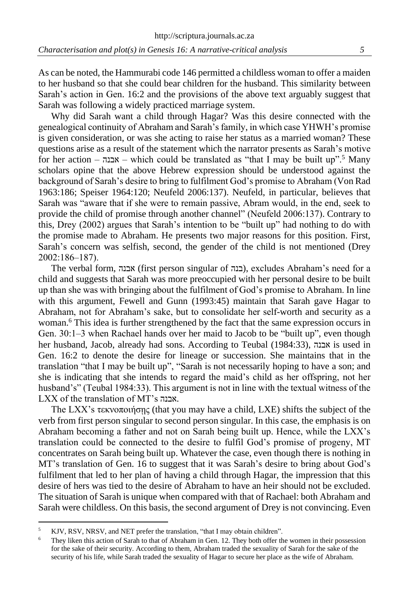As can be noted, the Hammurabi code 146 permitted a childless woman to offer a maiden to her husband so that she could bear children for the husband. This similarity between Sarah's action in Gen. 16:2 and the provisions of the above text arguably suggest that Sarah was following a widely practiced marriage system.

Why did Sarah want a child through Hagar? Was this desire connected with the genealogical continuity of Abraham and Sarah's family, in which case YHWH's promise is given consideration, or was she acting to raise her status as a married woman? These questions arise as a result of the statement which the narrator presents as Sarah's motive for her action – אבנה – which could be translated as "that I may be built up".<sup>5</sup> Many scholars opine that the above Hebrew expression should be understood against the background of Sarah's desire to bring to fulfilment God's promise to Abraham (Von Rad 1963:186; Speiser 1964:120; Neufeld 2006:137). Neufeld, in particular, believes that Sarah was "aware that if she were to remain passive, Abram would, in the end, seek to provide the child of promise through another channel" (Neufeld 2006:137). Contrary to this, Drey (2002) argues that Sarah's intention to be "built up" had nothing to do with the promise made to Abraham. He presents two major reasons for this position. First, Sarah's concern was selfish, second, the gender of the child is not mentioned (Drey 2002:186‒187).

The verbal form, אבנה) first person singular of בנה(, excludes Abraham's need for a child and suggests that Sarah was more preoccupied with her personal desire to be built up than she was with bringing about the fulfilment of God's promise to Abraham. In line with this argument, Fewell and Gunn (1993:45) maintain that Sarah gave Hagar to Abraham, not for Abraham's sake, but to consolidate her self-worth and security as a woman.<sup>6</sup> This idea is further strengthened by the fact that the same expression occurs in Gen. 30:1‒3 when Rachael hands over her maid to Jacob to be "built up", even though her husband, Jacob, already had sons. According to Teubal (1984:33), אבנה is used in Gen. 16:2 to denote the desire for lineage or succession. She maintains that in the translation "that I may be built up", "Sarah is not necessarily hoping to have a son; and she is indicating that she intends to regard the maid's child as her offspring, not her husband's" (Teubal 1984:33). This argument is not in line with the textual witness of the LXX of the translation of MT's אבנה.

The LXX's τεκνοποιήσῃς (that you may have a child, LXE) shifts the subject of the verb from first person singular to second person singular. In this case, the emphasis is on Abraham becoming a father and not on Sarah being built up. Hence, while the LXX's translation could be connected to the desire to fulfil God's promise of progeny, MT concentrates on Sarah being built up. Whatever the case, even though there is nothing in MT's translation of Gen. 16 to suggest that it was Sarah's desire to bring about God's fulfilment that led to her plan of having a child through Hagar, the impression that this desire of hers was tied to the desire of Abraham to have an heir should not be excluded. The situation of Sarah is unique when compared with that of Rachael: both Abraham and Sarah were childless. On this basis, the second argument of Drey is not convincing. Even

<sup>&</sup>lt;sup>5</sup> KJV, RSV, NRSV, and NET prefer the translation, "that I may obtain children".

<sup>&</sup>lt;sup>6</sup> They liken this action of Sarah to that of Abraham in Gen. 12. They both offer the women in their possession for the sake of their security. According to them, Abraham traded the sexuality of Sarah for the sake of the security of his life, while Sarah traded the sexuality of Hagar to secure her place as the wife of Abraham.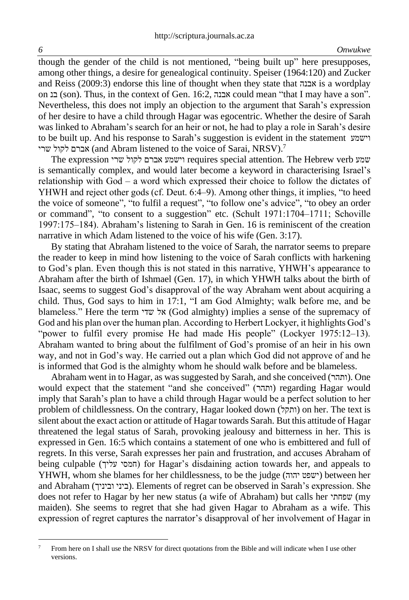though the gender of the child is not mentioned, "being built up" here presupposes, among other things, a desire for genealogical continuity. Speiser (1964:120) and Zucker and Reiss (2009:3) endorse this line of thought when they state that אבנה is a wordplay on בנ) son). Thus, in the context of Gen. 16:2, אבנה could mean "that I may have a son". Nevertheless, this does not imply an objection to the argument that Sarah's expression of her desire to have a child through Hagar was egocentric. Whether the desire of Sarah was linked to Abraham's search for an heir or not, he had to play a role in Sarah's desire to be built up. And his response to Sarah's suggestion is evident in the statement וישמע שרי לקול אברם) and Abram listened to the voice of Sarai, NRSV).<sup>7</sup>

The expression שרי לקול אברם וישמע requires special attention. The Hebrew verb שמע is semantically complex, and would later become a keyword in characterising Israel's relationship with God ‒ a word which expressed their choice to follow the dictates of YHWH and reject other gods (cf. Deut. 6:4‒9). Among other things, it implies, "to heed the voice of someone", "to fulfil a request", "to follow one's advice", "to obey an order or command", "to consent to a suggestion" etc. (Schult  $1971:1704-1711$ ; Schoville 1997:175‒184). Abraham's listening to Sarah in Gen. 16 is reminiscent of the creation narrative in which Adam listened to the voice of his wife (Gen. 3:17).

By stating that Abraham listened to the voice of Sarah, the narrator seems to prepare the reader to keep in mind how listening to the voice of Sarah conflicts with harkening to God's plan. Even though this is not stated in this narrative, YHWH's appearance to Abraham after the birth of Ishmael (Gen. 17), in which YHWH talks about the birth of Isaac, seems to suggest God's disapproval of the way Abraham went about acquiring a child. Thus, God says to him in 17:1, "I am God Almighty; walk before me, and be blameless." Here the term שדי אל) God almighty) implies a sense of the supremacy of God and his plan over the human plan. According to Herbert Lockyer, it highlights God's "power to fulfil every promise He had made His people" (Lockyer 1975:12-13). Abraham wanted to bring about the fulfilment of God's promise of an heir in his own way, and not in God's way. He carried out a plan which God did not approve of and he is informed that God is the almighty whom he should walk before and be blameless.

Abraham went in to Hagar, as was suggested by Sarah, and she conceived (ותהר). One would expect that the statement "and she conceived" (ותהר) regarding Hagar would imply that Sarah's plan to have a child through Hagar would be a perfect solution to her problem of childlessness. On the contrary, Hagar looked down (ותקל) on her. The text is silent about the exact action or attitude of Hagar towards Sarah. But this attitude of Hagar threatened the legal status of Sarah, provoking jealousy and bitterness in her. This is expressed in Gen. 16:5 which contains a statement of one who is embittered and full of regrets. In this verse, Sarah expresses her pain and frustration, and accuses Abraham of being culpable (חמסי עליך) for Hagar's disdaining action towards her, and appeals to YHWH, whom she blames for her childlessness, to be the judge ( יהוה ישפט (between her and Abraham (וביניך ביני(. Elements of regret can be observed in Sarah's expression. She does not refer to Hagar by her new status (a wife of Abraham) but calls her שפחתי) my maiden). She seems to regret that she had given Hagar to Abraham as a wife. This expression of regret captures the narrator's disapproval of her involvement of Hagar in

<sup>&</sup>lt;sup>7</sup> From here on I shall use the NRSV for direct quotations from the Bible and will indicate when I use other versions.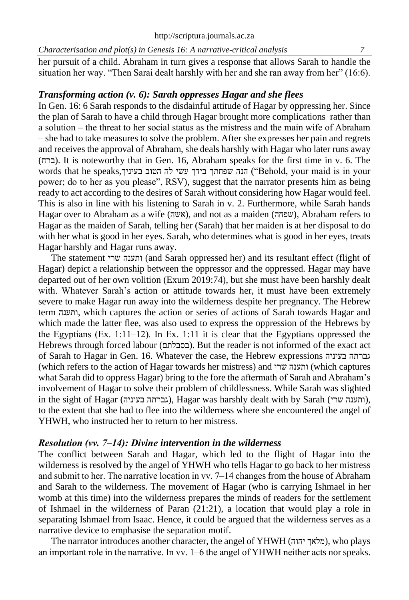her pursuit of a child. Abraham in turn gives a response that allows Sarah to handle the situation her way. "Then Sarai dealt harshly with her and she ran away from her" (16:6).

## *Transforming action (v. 6): Sarah oppresses Hagar and she flees*

In Gen. 16: 6 Sarah responds to the disdainful attitude of Hagar by oppressing her. Since the plan of Sarah to have a child through Hagar brought more complications rather than a solution – the threat to her social status as the mistress and the main wife of Abraham ‒ she had to take measures to solve the problem. After she expresses her pain and regrets and receives the approval of Abraham, she deals harshly with Hagar who later runs away (ברח(. It is noteworthy that in Gen. 16, Abraham speaks for the first time in v. 6. The words that he speaks, הנה שפחתך בידך עשי לה הטוב בעיניך, "Behold, your maid is in your power; do to her as you please", RSV), suggest that the narrator presents him as being ready to act according to the desires of Sarah without considering how Hagar would feel. This is also in line with his listening to Sarah in v. 2. Furthermore, while Sarah hands Hagar over to Abraham as a wife (אשה), and not as a maiden (שפחה), Abraham refers to Hagar as the maiden of Sarah, telling her (Sarah) that her maiden is at her disposal to do with her what is good in her eyes. Sarah, who determines what is good in her eyes, treats Hagar harshly and Hagar runs away.

The statement שרי ותענה) and Sarah oppressed her) and its resultant effect (flight of Hagar) depict a relationship between the oppressor and the oppressed. Hagar may have departed out of her own volition (Exum 2019:74), but she must have been harshly dealt with. Whatever Sarah's action or attitude towards her, it must have been extremely severe to make Hagar run away into the wilderness despite her pregnancy. The Hebrew term ותענה, which captures the action or series of actions of Sarah towards Hagar and which made the latter flee, was also used to express the oppression of the Hebrews by the Egyptians (Ex.  $1:11-12$ ). In Ex.  $1:11$  it is clear that the Egyptians oppressed the Hebrews through forced labour (בסבלתם). But the reader is not informed of the exact act of Sarah to Hagar in Gen. 16. Whatever the case, the Hebrew expressions בעיניה גברתה (which refers to the action of Hagar towards her mistress) and שרי ותענה) which captures what Sarah did to oppress Hagar) bring to the fore the aftermath of Sarah and Abraham's involvement of Hagar to solve their problem of childlessness. While Sarah was slighted in the sight of Hagar (גברתה בעיניה), Hagar was harshly dealt with by Sarah (ותענה), to the extent that she had to flee into the wilderness where she encountered the angel of YHWH, who instructed her to return to her mistress.

## *Resolution (vv. 7‒14): Divine intervention in the wilderness*

The conflict between Sarah and Hagar, which led to the flight of Hagar into the wilderness is resolved by the angel of YHWH who tells Hagar to go back to her mistress and submit to her. The narrative location in vv. 7–14 changes from the house of Abraham and Sarah to the wilderness. The movement of Hagar (who is carrying Ishmael in her womb at this time) into the wilderness prepares the minds of readers for the settlement of Ishmael in the wilderness of Paran  $(21:21)$ , a location that would play a role in separating Ishmael from Isaac. Hence, it could be argued that the wilderness serves as a narrative device to emphasise the separation motif.

The narrator introduces another character, the angel of YHWH  $($ מלאך יהוה), who plays an important role in the narrative. In vv. 1–6 the angel of YHWH neither acts nor speaks.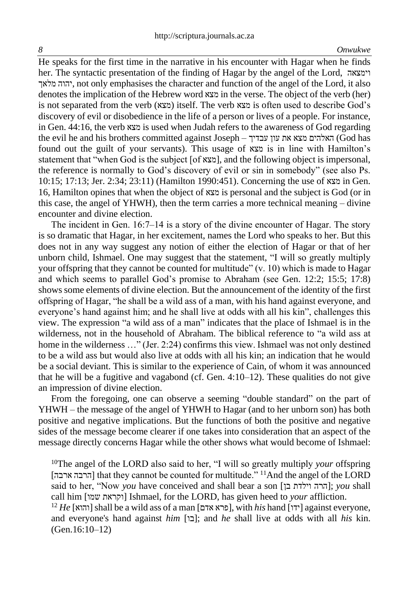He speaks for the first time in the narrative in his encounter with Hagar when he finds her. The syntactic presentation of the finding of Hagar by the angel of the Lord, וימצאה מלאך יהוה, not only emphasises the character and function of the angel of the Lord, it also denotes the implication of the Hebrew word מצא in the verse. The object of the verb (her) is not separated from the verb (מצא (itself. The verb מצא is often used to describe God's discovery of evil or disobedience in the life of a person or lives of a people. For instance, in Gen. 44:16, the verb מצא is used when Judah refers to the awareness of God regarding the evil he and his brothers committed against Joseph ‒ עבדיך עון את מצא האלהים) God has found out the guilt of your servants). This usage of מצא is in line with Hamilton's statement that "when God is the subject [of  $x\alpha$ ], and the following object is impersonal, the reference is normally to God's discovery of evil or sin in somebody" (see also Ps. 10:15; 17:13; Jer. 2:34; 23:11) (Hamilton 1990:451). Concerning the use of מצא in Gen. 16, Hamilton opines that when the object of מצא is personal and the subject is God (or in this case, the angel of YHWH), then the term carries a more technical meaning – divine encounter and divine election.

The incident in Gen. 16:7–14 is a story of the divine encounter of Hagar. The story is so dramatic that Hagar, in her excitement, names the Lord who speaks to her. But this does not in any way suggest any notion of either the election of Hagar or that of her unborn child, Ishmael. One may suggest that the statement, "I will so greatly multiply your offspring that they cannot be counted for multitude"  $(v, 10)$  which is made to Hagar and which seems to parallel God's promise to Abraham (see Gen. 12:2; 15:5; 17:8) shows some elements of divine election. But the announcement of the identity of the first offspring of Hagar, "he shall be a wild ass of a man, with his hand against everyone, and everyone's hand against him; and he shall live at odds with all his kin", challenges this view. The expression "a wild ass of a man" indicates that the place of Ishmael is in the wilderness, not in the household of Abraham. The biblical reference to "a wild ass at home in the wilderness ..." (Jer. 2:24) confirms this view. Ishmael was not only destined to be a wild ass but would also live at odds with all his kin; an indication that he would be a social deviant. This is similar to the experience of Cain, of whom it was announced that he will be a fugitive and vagabond (cf. Gen.  $4:10-12$ ). These qualities do not give an impression of divine election.

From the foregoing, one can observe a seeming "double standard" on the part of YHWH – the message of the angel of YHWH to Hagar (and to her unborn son) has both positive and negative implications. But the functions of both the positive and negative sides of the message become clearer if one takes into consideration that an aspect of the message directly concerns Hagar while the other shows what would become of Ishmael:

<sup>10</sup>The angel of the LORD also said to her, "I will so greatly multiply *your* offspring [ ארבה הרבה [that they cannot be counted for multitude." <sup>11</sup>And the angel of the LORD said to her, "Now *you* have conceived and shall bear a son [בן וילדת הרה ;[*you* shall call him [שמו וקראת [Ishmael, for the LORD, has given heed to *your* affliction.

 $^{12}$  *He* [והוא] shall be a wild ass of a man [פרא אדם], with *his* hand [ידו] against everyone, and everyone's hand against *him* [בו]; and *he* shall live at odds with all *his* kin. (Gen.16:10–12)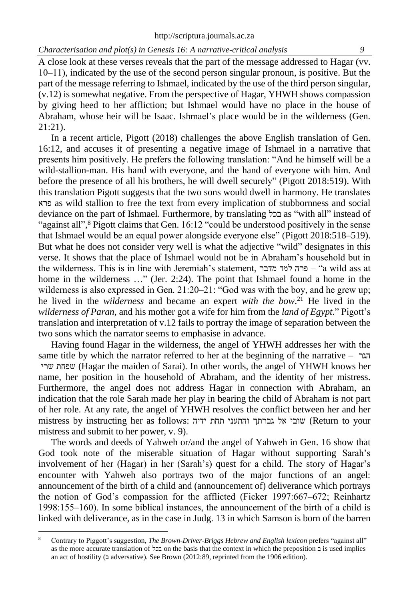A close look at these verses reveals that the part of the message addressed to Hagar (vv. 10‒11), indicated by the use of the second person singular pronoun, is positive. But the part of the message referring to Ishmael, indicated by the use of the third person singular, (v.12) is somewhat negative. From the perspective of Hagar, YHWH shows compassion by giving heed to her affliction; but Ishmael would have no place in the house of Abraham, whose heir will be Isaac. Ishmael's place would be in the wilderness (Gen. 21:21).

In a recent article, Pigott (2018) challenges the above English translation of Gen. 16:12, and accuses it of presenting a negative image of Ishmael in a narrative that presents him positively. He prefers the following translation: "And he himself will be a wild-stallion-man. His hand with everyone, and the hand of everyone with him. And before the presence of all his brothers, he will dwell securely" (Pigott 2018:519). With this translation Pigott suggests that the two sons would dwell in harmony. He translates פרא as wild stallion to free the text from every implication of stubbornness and social deviance on the part of Ishmael. Furthermore, by translating בכל as "with all" instead of "against all",<sup>8</sup> Pigott claims that Gen. 16:12 "could be understood positively in the sense that Ishmael would be an equal power alongside everyone else" (Pigott 2018:518–519). But what he does not consider very well is what the adjective "wild" designates in this verse. It shows that the place of Ishmael would not be in Abraham's household but in the wilderness. This is in line with Jeremiah's statement, הפרה למד פרה למד home in the wilderness ..." (Jer. 2:24). The point that Ishmael found a home in the wilderness is also expressed in Gen.  $21:20-21$ : "God was with the boy, and he grew up; he lived in the *wilderness* and became an expert *with the bow*. <sup>21</sup> He lived in the *wilderness of Paran,* and his mother got a wife for him from the *land of Egypt*." Pigott's translation and interpretation of v.12 fails to portray the image of separation between the two sons which the narrator seems to emphasise in advance.

Having found Hagar in the wilderness, the angel of YHWH addresses her with the same title by which the narrator referred to her at the beginning of the narrative – הגר שרי שפחת) Hagar the maiden of Sarai). In other words, the angel of YHWH knows her name, her position in the household of Abraham, and the identity of her mistress. Furthermore, the angel does not address Hagar in connection with Abraham, an indication that the role Sarah made her play in bearing the child of Abraham is not part of her role. At any rate, the angel of YHWH resolves the conflict between her and her mistress by instructing her as follows: ידיה תחת והתעני גברתך אל שובי) Return to your mistress and submit to her power, v. 9).

The words and deeds of Yahweh or/and the angel of Yahweh in Gen. 16 show that God took note of the miserable situation of Hagar without supporting Sarah's involvement of her (Hagar) in her (Sarah's) quest for a child. The story of Hagar's encounter with Yahweh also portrays two of the major functions of an angel: announcement of the birth of a child and (announcement of) deliverance which portrays the notion of God's compassion for the afflicted (Ficker 1997:667–672; Reinhartz 1998:155‒160). In some biblical instances, the announcement of the birth of a child is linked with deliverance, as in the case in Judg. 13 in which Samson is born of the barren

<sup>8</sup> Contrary to Piggott's suggestion, *The Brown-Driver-Briggs Hebrew and English lexicon* prefers "against all" as the more accurate translation of בכל on the basis that the context in which the preposition ב is used implies an act of hostility (2 adversative). See Brown (2012:89, reprinted from the 1906 edition).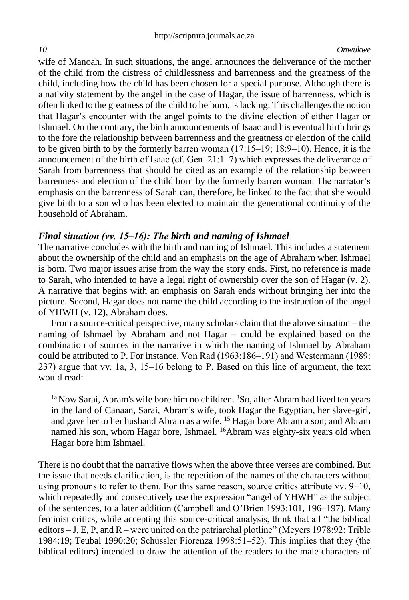wife of Manoah. In such situations, the angel announces the deliverance of the mother of the child from the distress of childlessness and barrenness and the greatness of the child, including how the child has been chosen for a special purpose. Although there is a nativity statement by the angel in the case of Hagar, the issue of barrenness, which is often linked to the greatness of the child to be born, is lacking. This challenges the notion that Hagar's encounter with the angel points to the divine election of either Hagar or Ishmael. On the contrary, the birth announcements of Isaac and his eventual birth brings to the fore the relationship between barrenness and the greatness or election of the child to be given birth to by the formerly barren woman  $(17:15-19; 18:9-10)$ . Hence, it is the announcement of the birth of Isaac (cf. Gen.  $21:1-7$ ) which expresses the deliverance of Sarah from barrenness that should be cited as an example of the relationship between barrenness and election of the child born by the formerly barren woman. The narrator's emphasis on the barrenness of Sarah can, therefore, be linked to the fact that she would give birth to a son who has been elected to maintain the generational continuity of the household of Abraham.

## *Final situation (vv. 15‒16): The birth and naming of Ishmael*

The narrative concludes with the birth and naming of Ishmael. This includes a statement about the ownership of the child and an emphasis on the age of Abraham when Ishmael is born. Two major issues arise from the way the story ends. First, no reference is made to Sarah, who intended to have a legal right of ownership over the son of Hagar (v. 2). A narrative that begins with an emphasis on Sarah ends without bringing her into the picture. Second, Hagar does not name the child according to the instruction of the angel of YHWH (v. 12), Abraham does.

From a source-critical perspective, many scholars claim that the above situation – the naming of Ishmael by Abraham and not Hagar – could be explained based on the combination of sources in the narrative in which the naming of Ishmael by Abraham could be attributed to P. For instance, Von Rad (1963:186–191) and Westermann (1989:  $237$ ) argue that vv. 1a, 3, 15–16 belong to P. Based on this line of argument, the text would read:

 $1a$  Now Sarai, Abram's wife bore him no children.  ${}^{3}$ So, after Abram had lived ten years in the land of Canaan, Sarai, Abram's wife, took Hagar the Egyptian, her slave-girl, and gave her to her husband Abram as a wife. <sup>15</sup> Hagar bore Abram a son; and Abram named his son, whom Hagar bore, Ishmael. <sup>16</sup>Abram was eighty-six years old when Hagar bore him Ishmael.

There is no doubt that the narrative flows when the above three verses are combined. But the issue that needs clarification, is the repetition of the names of the characters without using pronouns to refer to them. For this same reason, source critics attribute vv.  $9-10$ , which repeatedly and consecutively use the expression "angel of YHWH" as the subject of the sentences, to a later addition (Campbell and O'Brien 1993:101, 196–197). Many feminist critics, while accepting this source-critical analysis, think that all "the biblical editors  $-$  J, E, P, and R – were united on the patriarchal plotline" (Meyers 1978:92; Trible 1984:19; Teubal 1990:20; Schüssler Fiorenza 1998:51‒52). This implies that they (the biblical editors) intended to draw the attention of the readers to the male characters of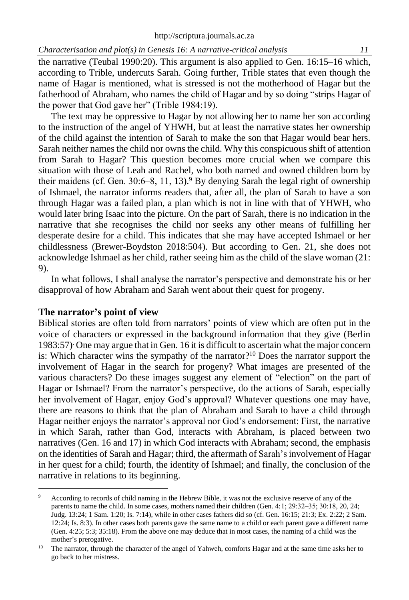the narrative (Teubal 1990:20). This argument is also applied to Gen. 16:15–16 which, according to Trible, undercuts Sarah. Going further, Trible states that even though the name of Hagar is mentioned, what is stressed is not the motherhood of Hagar but the fatherhood of Abraham, who names the child of Hagar and by so doing "strips Hagar of the power that God gave her" (Trible 1984:19).

The text may be oppressive to Hagar by not allowing her to name her son according to the instruction of the angel of YHWH, but at least the narrative states her ownership of the child against the intention of Sarah to make the son that Hagar would bear hers. Sarah neither names the child nor owns the child. Why this conspicuous shift of attention from Sarah to Hagar? This question becomes more crucial when we compare this situation with those of Leah and Rachel, who both named and owned children born by their maidens (cf. Gen.  $30:6-8$ , 11, 13).<sup>9</sup> By denying Sarah the legal right of ownership of Ishmael, the narrator informs readers that, after all, the plan of Sarah to have a son through Hagar was a failed plan, a plan which is not in line with that of YHWH, who would later bring Isaac into the picture. On the part of Sarah, there is no indication in the narrative that she recognises the child nor seeks any other means of fulfilling her desperate desire for a child. This indicates that she may have accepted Ishmael or her childlessness (Brewer-Boydston 2018:504). But according to Gen. 21, she does not acknowledge Ishmael as her child, rather seeing him as the child of the slave woman (21: 9).

In what follows, I shall analyse the narrator's perspective and demonstrate his or her disapproval of how Abraham and Sarah went about their quest for progeny.

#### **The narrator's point of view**

Biblical stories are often told from narrators' points of view which are often put in the voice of characters or expressed in the background information that they give (Berlin 1983:57). One may argue that in Gen. 16 it is difficult to ascertain what the major concern is: Which character wins the sympathy of the narrator?<sup>10</sup> Does the narrator support the involvement of Hagar in the search for progeny? What images are presented of the various characters? Do these images suggest any element of "election" on the part of Hagar or Ishmael? From the narrator's perspective, do the actions of Sarah, especially her involvement of Hagar, enjoy God's approval? Whatever questions one may have, there are reasons to think that the plan of Abraham and Sarah to have a child through Hagar neither enjoys the narrator's approval nor God's endorsement: First, the narrative in which Sarah, rather than God, interacts with Abraham, is placed between two narratives (Gen. 16 and 17) in which God interacts with Abraham; second, the emphasis on the identities of Sarah and Hagar; third, the aftermath of Sarah'sinvolvement of Hagar in her quest for a child; fourth, the identity of Ishmael; and finally, the conclusion of the narrative in relations to its beginning.

According to records of child naming in the Hebrew Bible, it was not the exclusive reserve of any of the parents to name the child. In some cases, mothers named their children (Gen. 4:1; 29:32‒35; 30:18, 20, 24; Judg. 13:24; 1 Sam. 1:20; Is. 7:14), while in other cases fathers did so (cf. Gen. 16:15; 21:3; Ex. 2:22; 2 Sam. 12:24; Is. 8:3). In other cases both parents gave the same name to a child or each parent gave a different name (Gen. 4:25; 5:3; 35:18). From the above one may deduce that in most cases, the naming of a child was the mother's prerogative.

<sup>&</sup>lt;sup>10</sup> The narrator, through the character of the angel of Yahweh, comforts Hagar and at the same time asks her to go back to her mistress.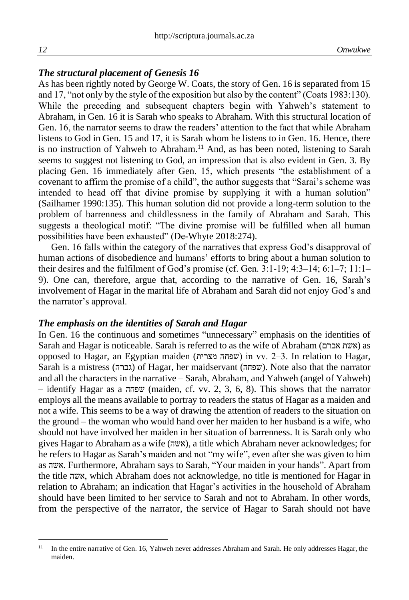### *The structural placement of Genesis 16*

As has been rightly noted by George W. Coats, the story of Gen. 16 is separated from 15 and 17, "not only by the style of the exposition but also by the content" (Coats 1983:130). While the preceding and subsequent chapters begin with Yahweh's statement to Abraham, in Gen. 16 it is Sarah who speaks to Abraham. With this structural location of Gen. 16, the narrator seems to draw the readers' attention to the fact that while Abraham listens to God in Gen. 15 and 17, it is Sarah whom he listens to in Gen. 16. Hence, there is no instruction of Yahweh to Abraham.<sup>11</sup> And, as has been noted, listening to Sarah seems to suggest not listening to God, an impression that is also evident in Gen. 3. By placing Gen. 16 immediately after Gen. 15, which presents "the establishment of a covenant to affirm the promise of a child", the author suggests that "Sarai's scheme was intended to head off that divine promise by supplying it with a human solution" (Sailhamer 1990:135). This human solution did not provide a long-term solution to the problem of barrenness and childlessness in the family of Abraham and Sarah. This suggests a theological motif: "The divine promise will be fulfilled when all human possibilities have been exhausted" (De-Whyte 2018:274).

Gen. 16 falls within the category of the narratives that express God's disapproval of human actions of disobedience and humans' efforts to bring about a human solution to their desires and the fulfilment of God's promise (cf. Gen.  $3:1-19$ ;  $4:3-14$ ;  $6:1-7$ ;  $11:1-$ 9). One can, therefore, argue that, according to the narrative of Gen. 16, Sarah's involvement of Hagar in the marital life of Abraham and Sarah did not enjoy God's and the narrator's approval.

#### *The emphasis on the identities of Sarah and Hagar*

In Gen. 16 the continuous and sometimes "unnecessary" emphasis on the identities of Sarah and Hagar is noticeable. Sarah is referred to as the wife of Abraham (אברם אשת (as opposed to Hagar, an Egyptian maiden (מצרית שפחה (in vv. 2‒3. In relation to Hagar, Sarah is a mistress ( גברה (of Hagar, her maidservant ( שפחה(. Note also that the narrator and all the characters in the narrative – Sarah, Abraham, and Yahweh (angel of Yahweh) – identify Hagar as a שפחה) maiden, cf. vv. 2, 3, 6, 8). This shows that the narrator employs all the means available to portray to readers the status of Hagar as a maiden and not a wife. This seems to be a way of drawing the attention of readers to the situation on the ground – the woman who would hand over her maiden to her husband is a wife, who should not have involved her maiden in her situation of barrenness. It is Sarah only who gives Hagar to Abraham as a wife ( אשה(, a title which Abraham never acknowledges; for he refers to Hagar as Sarah's maiden and not "my wife", even after she was given to him as אשה. Furthermore, Abraham says to Sarah, "Your maiden in your hands". Apart from the title אשה, which Abraham does not acknowledge, no title is mentioned for Hagar in relation to Abraham; an indication that Hagar's activities in the household of Abraham should have been limited to her service to Sarah and not to Abraham. In other words, from the perspective of the narrator, the service of Hagar to Sarah should not have

<sup>&</sup>lt;sup>11</sup> In the entire narrative of Gen. 16, Yahweh never addresses Abraham and Sarah. He only addresses Hagar, the maiden.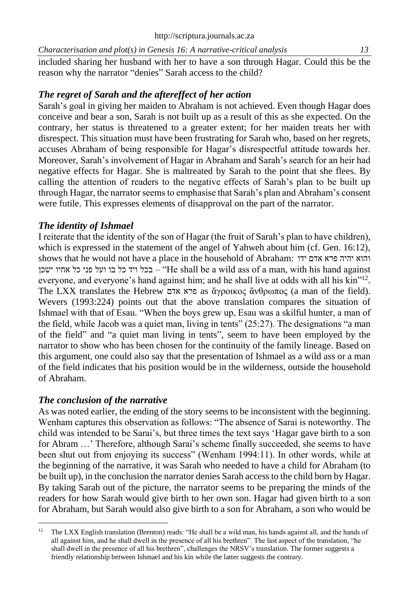*Characterisation and plot(s) in Genesis 16: A narrative-critical analysis 13* included sharing her husband with her to have a son through Hagar. Could this be the reason why the narrator "denies" Sarah access to the child?

# *The regret of Sarah and the aftereffect of her action*

Sarah's goal in giving her maiden to Abraham is not achieved. Even though Hagar does conceive and bear a son, Sarah is not built up as a result of this as she expected. On the contrary, her status is threatened to a greater extent; for her maiden treats her with disrespect. This situation must have been frustrating for Sarah who, based on her regrets, accuses Abraham of being responsible for Hagar's disrespectful attitude towards her. Moreover, Sarah's involvement of Hagar in Abraham and Sarah's search for an heir had negative effects for Hagar. She is maltreated by Sarah to the point that she flees. By calling the attention of readers to the negative effects of Sarah's plan to be built up through Hagar, the narrator seems to emphasise that Sarah's plan and Abraham's consent were futile. This expresses elements of disapproval on the part of the narrator.

# *The identity of Ishmael*

I reiterate that the identity of the son of Hagar (the fruit of Sarah's plan to have children), which is expressed in the statement of the angel of Yahweh about him (cf. Gen. 16:12), shows that he would not have a place in the household of Abraham: ידו אדם פרא יהיה והוא בכל ויד כל בו ועל פני כל אחיו ישכן – "He shall be a wild ass of a man, with his hand against everyone, and everyone's hand against him; and he shall live at odds with all his kin"<sup>12</sup>. The LXX translates the Hebrew אדם פרא as ἄγροικος ἄνθρωπος (a man of the field). Wevers (1993:224) points out that the above translation compares the situation of Ishmael with that of Esau. "When the boys grew up, Esau was a skilful hunter, a man of the field, while Jacob was a quiet man, living in tents" (25:27). The designations "a man of the field" and "a quiet man living in tents", seem to have been employed by the narrator to show who has been chosen for the continuity of the family lineage. Based on this argument, one could also say that the presentation of Ishmael as a wild ass or a man of the field indicates that his position would be in the wilderness, outside the household of Abraham.

# *The conclusion of the narrative*

As was noted earlier, the ending of the story seems to be inconsistent with the beginning. Wenham captures this observation as follows: "The absence of Sarai is noteworthy. The child was intended to be Sarai's, but three times the text says 'Hagar gave birth to a son for Abram …' Therefore, although Sarai's scheme finally succeeded, she seems to have been shut out from enjoying its success" (Wenham 1994:11). In other words, while at the beginning of the narrative, it was Sarah who needed to have a child for Abraham (to be built up), in the conclusion the narrator denies Sarah access to the child born by Hagar. By taking Sarah out of the picture, the narrator seems to be preparing the minds of the readers for how Sarah would give birth to her own son. Hagar had given birth to a son for Abraham, but Sarah would also give birth to a son for Abraham, a son who would be

<sup>&</sup>lt;sup>12</sup> The LXX English translation (Brenton) reads: "He shall be a wild man, his hands against all, and the hands of all against him, and he shall dwell in the presence of all his brethren". The last aspect of the translation, "he shall dwell in the presence of all his brethren", challenges the NRSV's translation. The former suggests a friendly relationship between Ishmael and his kin while the latter suggests the contrary.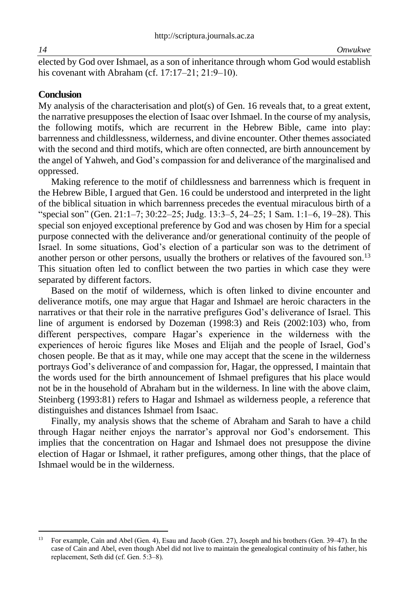elected by God over Ishmael, as a son of inheritance through whom God would establish his covenant with Abraham (cf.  $17:17-21$ ;  $21:9-10$ ).

#### **Conclusion**

My analysis of the characterisation and plot(s) of Gen. 16 reveals that, to a great extent, the narrative presupposes the election of Isaac over Ishmael. In the course of my analysis, the following motifs, which are recurrent in the Hebrew Bible, came into play: barrenness and childlessness, wilderness, and divine encounter. Other themes associated with the second and third motifs, which are often connected, are birth announcement by the angel of Yahweh, and God's compassion for and deliverance of the marginalised and oppressed.

Making reference to the motif of childlessness and barrenness which is frequent in the Hebrew Bible, I argued that Gen. 16 could be understood and interpreted in the light of the biblical situation in which barrenness precedes the eventual miraculous birth of a "special son" (Gen. 21:1–7; 30:22‒25; Judg. 13:3‒5, 24‒25; 1 Sam. 1:1‒6, 19‒28). This special son enjoyed exceptional preference by God and was chosen by Him for a special purpose connected with the deliverance and/or generational continuity of the people of Israel. In some situations, God's election of a particular son was to the detriment of another person or other persons, usually the brothers or relatives of the favoured son.<sup>13</sup> This situation often led to conflict between the two parties in which case they were separated by different factors.

Based on the motif of wilderness, which is often linked to divine encounter and deliverance motifs, one may argue that Hagar and Ishmael are heroic characters in the narratives or that their role in the narrative prefigures God's deliverance of Israel. This line of argument is endorsed by Dozeman (1998:3) and Reis (2002:103) who, from different perspectives, compare Hagar's experience in the wilderness with the experiences of heroic figures like Moses and Elijah and the people of Israel, God's chosen people. Be that as it may, while one may accept that the scene in the wilderness portrays God's deliverance of and compassion for, Hagar, the oppressed, I maintain that the words used for the birth announcement of Ishmael prefigures that his place would not be in the household of Abraham but in the wilderness. In line with the above claim, Steinberg (1993:81) refers to Hagar and Ishmael as wilderness people, a reference that distinguishes and distances Ishmael from Isaac.

Finally, my analysis shows that the scheme of Abraham and Sarah to have a child through Hagar neither enjoys the narrator's approval nor God's endorsement. This implies that the concentration on Hagar and Ishmael does not presuppose the divine election of Hagar or Ishmael, it rather prefigures, among other things, that the place of Ishmael would be in the wilderness.

<sup>&</sup>lt;sup>13</sup> For example, Cain and Abel (Gen. 4), Esau and Jacob (Gen. 27), Joseph and his brothers (Gen. 39–47). In the case of Cain and Abel, even though Abel did not live to maintain the genealogical continuity of his father, his replacement, Seth did (cf. Gen. 5:3‒8).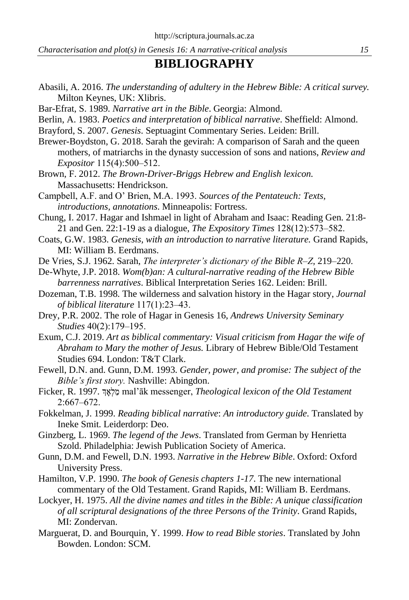# **BIBLIOGRAPHY**

- Abasili, A. 2016. *The understanding of adultery in the Hebrew Bible: A critical survey.* Milton Keynes, UK: Xlibris.
- Bar-Efrat, S. 1989. *Narrative art in the Bible*. Georgia: Almond.
- Berlin, A. 1983. *Poetics and interpretation of biblical narrative*. Sheffield: Almond.
- Brayford, S. 2007. *Genesis*. Septuagint Commentary Series. Leiden: Brill.
- Brewer-Boydston, G. 2018. Sarah the gevirah: A comparison of Sarah and the queen mothers, of matriarchs in the dynasty succession of sons and nations, *Review and Expositor* 115(4):500‒512.
- Brown, F. 2012. *The Brown-Driver-Briggs Hebrew and English lexicon.* Massachusetts: Hendrickson.
- Campbell, A.F. and O' Brien, M.A. 1993. *Sources of the Pentateuch: Texts, introductions, annotations*. Minneapolis: Fortress.
- Chung, I. 2017. Hagar and Ishmael in light of Abraham and Isaac: Reading Gen. 21:8- 21 and Gen. 22:1-19 as a dialogue, *The Expository Times* 128(12):573‒582.
- Coats, G.W. 1983. *Genesis, with an introduction to narrative literature.* Grand Rapids, MI: William B. Eerdmans.
- De Vries, S.J. 1962. Sarah, *The interpreter's dictionary of the Bible R‒Z,* 219–220.
- De-Whyte, J.P. 2018. *Wom(b)an: A cultural-narrative reading of the Hebrew Bible barrenness narratives*. Biblical Interpretation Series 162. Leiden: Brill.
- Dozeman, T.B. 1998. The wilderness and salvation history in the Hagar story, *Journal of biblical literature* 117(1):23‒43.
- Drey, P.R. 2002. The role of Hagar in Genesis 16, *Andrews University Seminary Studies* 40(2):179‒195.
- Exum, C.J. 2019. *Art as biblical commentary: Visual criticism from Hagar the wife of Abraham to Mary the mother of Jesus.* Library of Hebrew Bible/Old Testament Studies 694. London: T&T Clark.
- Fewell, D.N. and. Gunn, D.M. 1993. *Gender, power, and promise: The subject of the Bible's first story.* Nashville: Abingdon.
- Ficker, R. 1997. ךְ ָאְלַמ mal'āk messenger, *Theological lexicon of the Old Testament*  $2:667 - 672.$
- Fokkelman, J. 1999. *Reading biblical narrative*: *An introductory guide*. Translated by Ineke Smit. Leiderdorp: Deo.
- Ginzberg, L. 1969. *The legend of the Jews*. Translated from German by Henrietta Szold. Philadelphia: Jewish Publication Society of America.
- Gunn, D.M. and Fewell, D.N. 1993. *Narrative in the Hebrew Bible*. Oxford: Oxford University Press.
- Hamilton, V.P. 1990. *The book of Genesis chapters 1-17*. The new international commentary of the Old Testament. Grand Rapids, MI: William B. Eerdmans.
- Lockyer, H. 1975. *All the divine names and titles in the Bible: A unique classification of all scriptural designations of the three Persons of the Trinity*. Grand Rapids, MI: Zondervan.
- Marguerat, D. and Bourquin, Y. 1999. *How to read Bible stories*. Translated by John Bowden. London: SCM.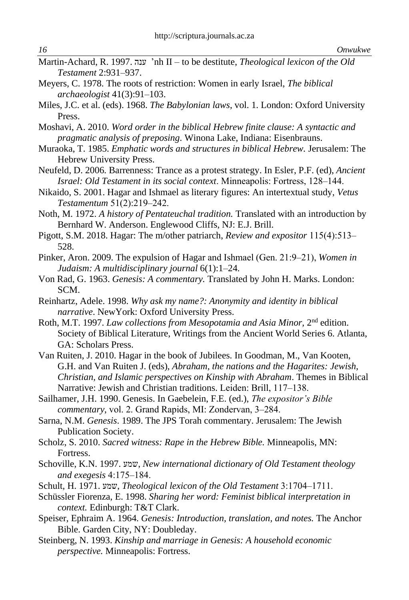- Martin-Achard, R. 1997. ענה' nh II to be destitute, *Theological lexicon of the Old Testament* 2:931‒937.
- Meyers, C. 1978. The roots of restriction: Women in early Israel, *The biblical archaeologist* 41(3):91‒103.
- Miles, J.C. et al. (eds). 1968. *The Babylonian laws*, vol. 1. London: Oxford University Press.
- Moshavi, A. 2010. *Word order in the biblical Hebrew finite clause: A syntactic and pragmatic analysis of preposing*. Winona Lake, Indiana: Eisenbrauns.
- Muraoka, T. 1985. *Emphatic words and structures in biblical Hebrew.* Jerusalem: The Hebrew University Press.
- Neufeld, D. 2006. Barrenness: Trance as a protest strategy. In Esler, P.F. (ed), *Ancient Israel: Old Testament in its social context.* Minneapolis: Fortress, 128–144.
- Nikaido, S. 2001. Hagar and Ishmael as literary figures: An intertextual study, *Vetus Testamentum* 51(2):219‒242.
- Noth, M. 1972. *A history of Pentateuchal tradition.* Translated with an introduction by Bernhard W. Anderson. Englewood Cliffs, NJ: E.J. Brill.
- Pigott, S.M. 2018. Hagar: The m/other patriarch, *Review and expositor* 115(4):513– 528.
- Pinker, Aron. 2009. The expulsion of Hagar and Ishmael (Gen. 21:9‒21), *Women in Judaism: A multidisciplinary journal* 6(1):1–24.
- Von Rad, G. 1963. *Genesis: A commentary.* Translated by John H. Marks. London: SCM.
- Reinhartz, Adele. 1998. *Why ask my name?: Anonymity and identity in biblical narrative*. NewYork: Oxford University Press.
- Roth, M.T. 1997. Law collections from Mesopotamia and Asia Minor, 2<sup>nd</sup> edition. Society of Biblical Literature, Writings from the Ancient World Series 6. Atlanta, GA: Scholars Press.
- Van Ruiten, J. 2010. Hagar in the book of Jubilees. In Goodman, M., Van Kooten, G.H. and Van Ruiten J. (eds), *Abraham, the nations and the Hagarites: Jewish, Christian, and Islamic perspectives on Kinship with Abraham*. Themes in Biblical Narrative: Jewish and Christian traditions. Leiden: Brill, 117-138.
- Sailhamer, J.H. 1990. Genesis. In Gaebelein, F.E. (ed.), *The expositor's Bible commentary*, vol. 2. Grand Rapids, MI: Zondervan, 3‒284.
- Sarna, N.M. *Genesis*. 1989. The JPS Torah commentary. Jerusalem: The Jewish Publication Society.
- Scholz, S. 2010. *Sacred witness: Rape in the Hebrew Bible.* Minneapolis, MN: Fortress.
- Schoville, K.N. 1997. שמע, *New international dictionary of Old Testament theology and exegesis* 4:175‒184.
- Schult, H. 1971. שמע, *Theological lexicon of the Old Testament* 3:1704‒1711.
- Schüssler Fiorenza, E. 1998. *Sharing her word: Feminist biblical interpretation in context.* Edinburgh: T&T Clark.
- Speiser, Ephraim A. 1964. *Genesis: Introduction, translation, and notes.* The Anchor Bible. Garden City, NY: Doubleday.
- Steinberg, N. 1993. *Kinship and marriage in Genesis: A household economic perspective.* Minneapolis: Fortress.